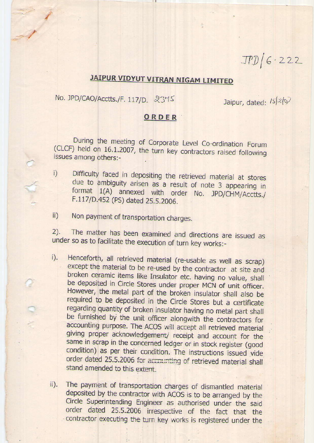## JAIPUR VIDYUT VITRAN NIGAM LIMITED

No. JPD/CAO/Acctts./F. 117/D. 2375

Jaipur, dated: /s/2/07

 $JPD/G-222$ 

## ORDER

During the meeting of Corporate Level Co-ordination Forum<br>(CLCF) held on 16.1.2007, the turn key contractors raised following issues among others:-

- i) Difficulty faced in depositing the retrieved material at stores due to ambiguity arisen as a result of note 3 appearing in format 1(A) annexed with order No. JPD/CHM/Acctts./ F.117/D.452 (PS) dated 25.5.2006.
- ii) Non payment of transportation charges.

o you

2). The matter has been examined and directions are issued as under so as to facilitate the execution of turn key works:-

- i). Henceforth, all retrieved material (re-usable as well as scrap) except the material to be re-used by the contractor at site and broken ceramic items like Insulator etc. having no value, shall be deposited in Circle Stores under proper MCN of unit officer. However, the metal part of the broken insulator shall also be required to be deposited in the Circle Stores but a certificate regarding quantity of broken insulator having no metal part shall be furnished by the unit officer alongwith the contractors for<br>accounting purpose. The ACOS will accept all retrieved material<br>giving proper acknowledgement/ receipt and account for the same in scrap in the concerned ledger or in stock register (good condition) as per their condition. The instructions issued vide order dated 25.5.2006 for accounting of retrieved material shall stand amended to this extent.
- ii). The payment of transportation charges of dismantled material deposited by the contractor with ACOS is to be arranged by the Circle Superintending Engineer as authorised under the said order dated 25.5.2006 irrespective of the fact that the - contractor executing the turn key works is registered under the